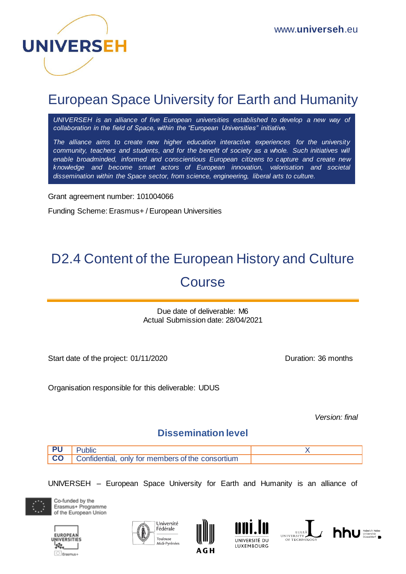

## European Space University for Earth and Humanity

*UNIVERSEH is an alliance of five European universities established to develop a new way of collaboration in the field of Space, within the "European Universities" initiative.*

*The alliance aims to create new higher education interactive experiences for the university community, teachers and students, and for the benefit of society as a whole. Such initiatives will enable broadminded, informed and conscientious European citizens to capture and create new knowledge and become smart actors of European innovation, valorisation and societal dissemination within the Space sector, from science, engineering, liberal arts to culture.*

Grant agreement number: 101004066

Funding Scheme: Erasmus+ / European Universities

# D2.4 Content of the European History and Culture Course

Due date of deliverable: M6 Actual Submission date: 28/04/2021

Start date of the project: 01/11/2020 Duration: 36 months

Organisation responsible for this deliverable: UDUS

*Version: final*

### **Dissemination level**

| ublic                                            |  |
|--------------------------------------------------|--|
| Confidential, only for members of the consortium |  |

UNIVERSEH – European Space University for Earth and Humanity is an alliance of



Co-funded by the Erasmus+ Programme of the European Union









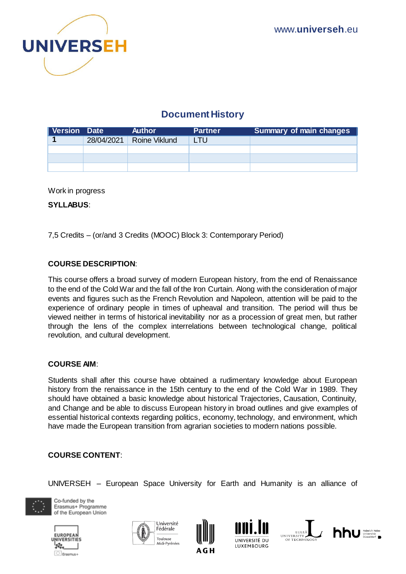

## **Document History**

| Version Date |            | <b>Author</b> | <b>Partner</b> | <b>Summary of main changes</b> |
|--------------|------------|---------------|----------------|--------------------------------|
|              | 28/04/2021 | Roine Viklund | LTU.           |                                |
|              |            |               |                |                                |
|              |            |               |                |                                |
|              |            |               |                |                                |

Work in progress

**SYLLABUS**:

7,5 Credits – (or/and 3 Credits (MOOC) Block 3: Contemporary Period)

#### **COURSE DESCRIPTION**:

This course offers a broad survey of modern European history, from the end of Renaissance to the end of the Cold War and the fall of the Iron Curtain. Along with the consideration of major events and figures such as the French Revolution and Napoleon, attention will be paid to the experience of ordinary people in times of upheaval and transition. The period will thus be viewed neither in terms of historical inevitability nor as a procession of great men, but rather through the lens of the complex interrelations between technological change, political revolution, and cultural development.

#### **COURSE AIM**:

Students shall after this course have obtained a rudimentary knowledge about European history from the renaissance in the 15th century to the end of the Cold War in 1989. They should have obtained a basic knowledge about historical Trajectories, Causation, Continuity, and Change and be able to discuss European history in broad outlines and give examples of essential historical contexts regarding politics, economy, technology, and environment, which have made the European transition from agrarian societies to modern nations possible.

#### **COURSE CONTENT**:

UNIVERSEH – European Space University for Earth and Humanity is an alliance of



Co-funded by the Erasmus+ Programme of the European Union